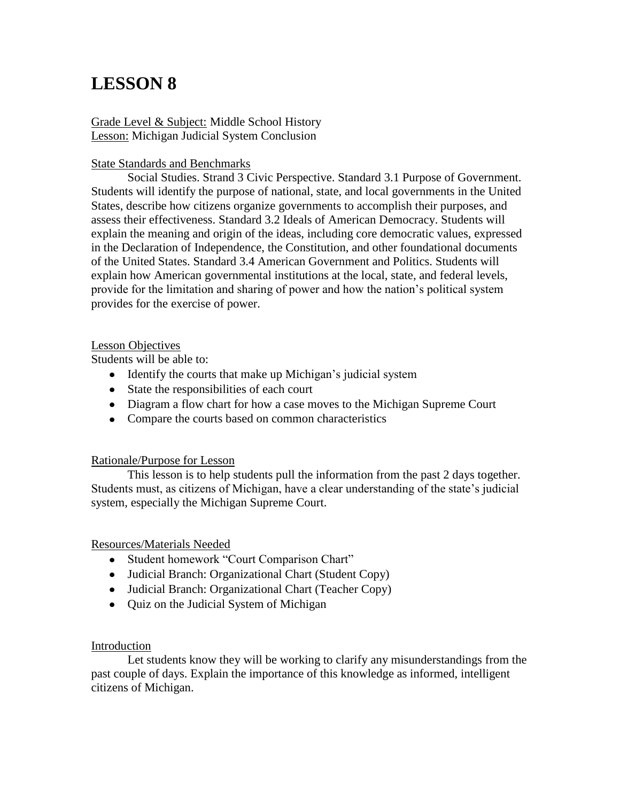# **LESSON 8**

Grade Level & Subject: Middle School History Lesson: Michigan Judicial System Conclusion

### State Standards and Benchmarks

Social Studies. Strand 3 Civic Perspective. Standard 3.1 Purpose of Government. Students will identify the purpose of national, state, and local governments in the United States, describe how citizens organize governments to accomplish their purposes, and assess their effectiveness. Standard 3.2 Ideals of American Democracy. Students will explain the meaning and origin of the ideas, including core democratic values, expressed in the Declaration of Independence, the Constitution, and other foundational documents of the United States. Standard 3.4 American Government and Politics. Students will explain how American governmental institutions at the local, state, and federal levels, provide for the limitation and sharing of power and how the nation's political system provides for the exercise of power.

#### Lesson Objectives

Students will be able to:

- Identify the courts that make up Michigan's judicial system
- State the responsibilities of each court
- Diagram a flow chart for how a case moves to the Michigan Supreme Court
- Compare the courts based on common characteristics

#### Rationale/Purpose for Lesson

This lesson is to help students pull the information from the past 2 days together. Students must, as citizens of Michigan, have a clear understanding of the state's judicial system, especially the Michigan Supreme Court.

#### Resources/Materials Needed

- Student homework "Court Comparison Chart"
- Judicial Branch: Organizational Chart (Student Copy)
- Judicial Branch: Organizational Chart (Teacher Copy)
- Quiz on the Judicial System of Michigan

## Introduction

Let students know they will be working to clarify any misunderstandings from the past couple of days. Explain the importance of this knowledge as informed, intelligent citizens of Michigan.